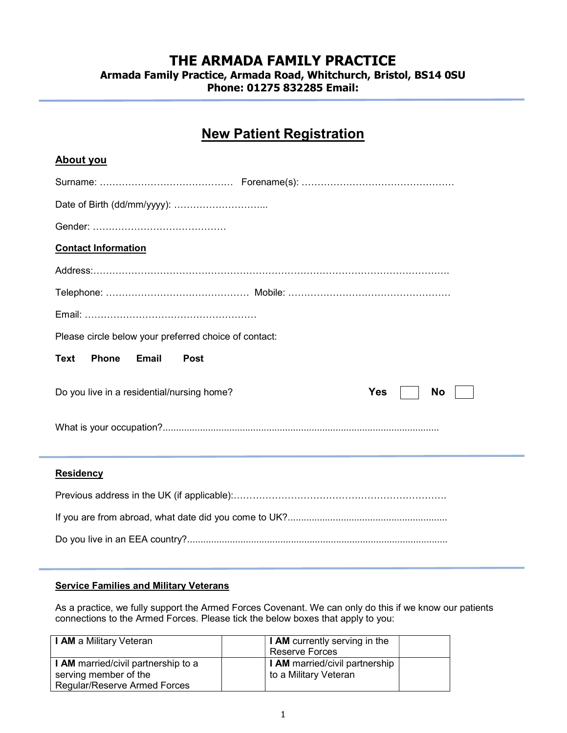# THE ARMADA FAMILY PRACTICE

Armada Family Practice, Armada Road, Whitchurch, Bristol, BS14 0SU Phone: 01275 832285 Email:

## New Patient Registration

| About you                                                      |
|----------------------------------------------------------------|
|                                                                |
|                                                                |
|                                                                |
| <b>Contact Information</b>                                     |
|                                                                |
|                                                                |
|                                                                |
| Please circle below your preferred choice of contact:          |
| Phone<br>Text<br><b>Email</b><br><b>Post</b>                   |
| Do you live in a residential/nursing home?<br><b>Yes</b><br>No |
|                                                                |
| <b>Residency</b>                                               |
|                                                                |
|                                                                |
|                                                                |

Do you live in an EEA country?..................................................................................................

#### Service Families and Military Veterans

As a practice, we fully support the Armed Forces Covenant. We can only do this if we know our patients connections to the Armed Forces. Please tick the below boxes that apply to you:

| I <b>AM</b> a Military Veteran      | <b>I AM</b> currently serving in the<br><b>Reserve Forces</b> |
|-------------------------------------|---------------------------------------------------------------|
| I AM married/civil partnership to a | <b>I AM</b> married/civil partnership                         |
| serving member of the               | to a Military Veteran                                         |
| Regular/Reserve Armed Forces        |                                                               |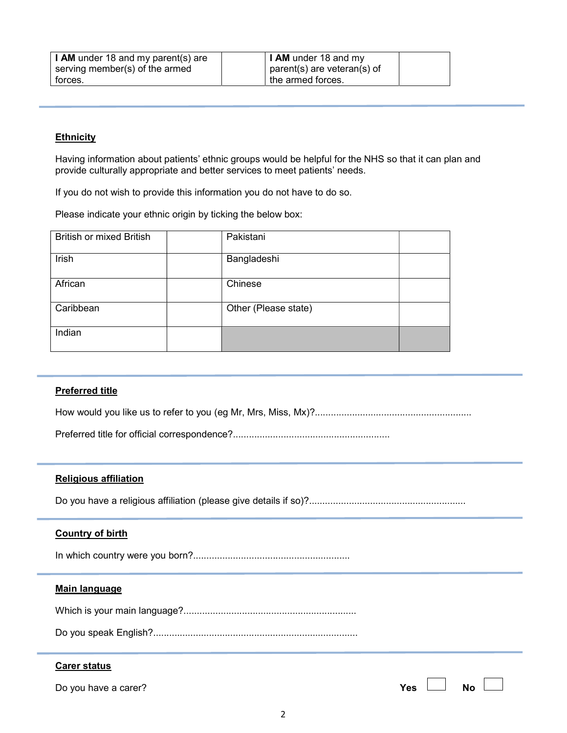| <b>I AM</b> under 18 and my parent(s) are | <b>I AM</b> under 18 and my    |  |
|-------------------------------------------|--------------------------------|--|
| serving member(s) of the armed            | parent(s) are veteran(s) of    |  |
| forces.                                   | <sup>1</sup> the armed forces. |  |

#### **Ethnicity**

Having information about patients' ethnic groups would be helpful for the NHS so that it can plan and provide culturally appropriate and better services to meet patients' needs.

If you do not wish to provide this information you do not have to do so.

Please indicate your ethnic origin by ticking the below box:

| British or mixed British | Pakistani            |  |
|--------------------------|----------------------|--|
| Irish                    | Bangladeshi          |  |
| African                  | Chinese              |  |
| Caribbean                | Other (Please state) |  |
| Indian                   |                      |  |

#### Preferred title

How would you like us to refer to you (eg Mr, Mrs, Miss, Mx)?...........................................................

Preferred title for official correspondence?...........................................................

#### Religious affiliation

Do you have a religious affiliation (please give details if so)?...........................................................

#### Country of birth

In which country were you born?...........................................................

#### Main language

Which is your main language?.................................................................

Do you speak English?.............................................................................

#### Carer status

Do you have a carer? No was not a set of the set of the set of the set of the set of the set of the set of the No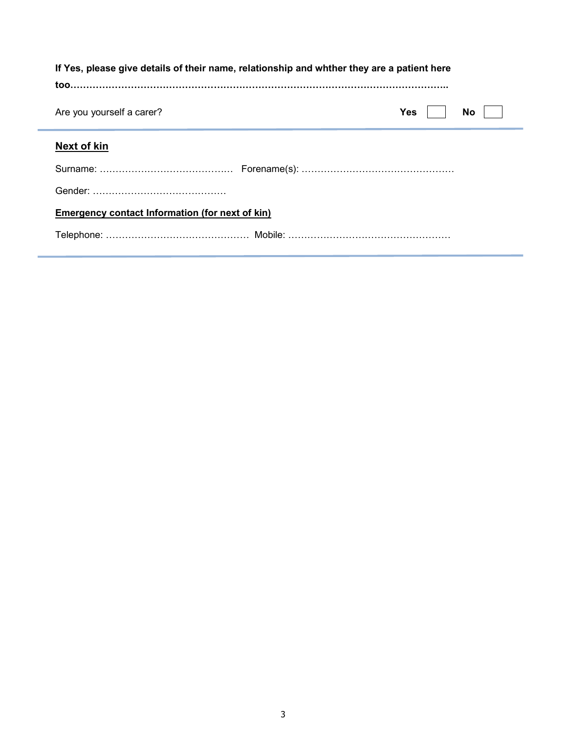| If Yes, please give details of their name, relationship and whither they are a patient here |     |      |
|---------------------------------------------------------------------------------------------|-----|------|
| Are you yourself a carer?                                                                   | Yes | No l |
| <b>Next of kin</b>                                                                          |     |      |
|                                                                                             |     |      |
|                                                                                             |     |      |
| Emergency contact Information (for next of kin)                                             |     |      |
|                                                                                             |     |      |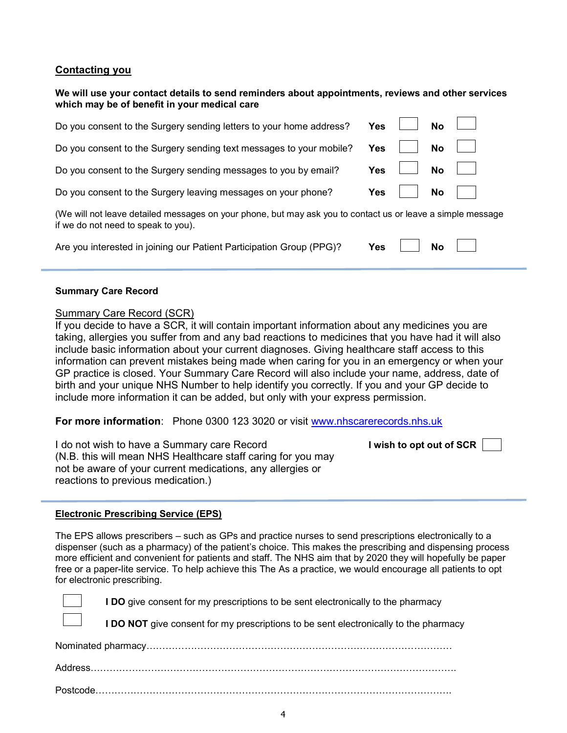#### Contacting you

|                                              | We will use your contact details to send reminders about appointments, reviews and other services |
|----------------------------------------------|---------------------------------------------------------------------------------------------------|
| which may be of benefit in your medical care |                                                                                                   |

| Do you consent to the Surgery sending letters to your home address?                                                                                | Yes        | <b>No</b> |  |
|----------------------------------------------------------------------------------------------------------------------------------------------------|------------|-----------|--|
| Do you consent to the Surgery sending text messages to your mobile?                                                                                | Yes        | <b>No</b> |  |
| Do you consent to the Surgery sending messages to you by email?                                                                                    | <b>Yes</b> | <b>No</b> |  |
| Do you consent to the Surgery leaving messages on your phone?                                                                                      | Yes        | <b>No</b> |  |
| (We will not leave detailed messages on your phone, but may ask you to contact us or leave a simple message<br>if we do not need to speak to you). |            |           |  |
| Are you interested in joining our Patient Participation Group (PPG)?                                                                               | Yes        | No        |  |

#### Summary Care Record

#### **Summary Care Record (SCR)**

| If you decide to have a SCR, it will contain important information about any medicines you are      |
|-----------------------------------------------------------------------------------------------------|
| taking, allergies you suffer from and any bad reactions to medicines that you have had it will also |
| include basic information about your current diagnoses. Giving healthcare staff access to this      |
| information can prevent mistakes being made when caring for you in an emergency or when your        |
| GP practice is closed. Your Summary Care Record will also include your name, address, date of       |
| birth and your unique NHS Number to help identify you correctly. If you and your GP decide to       |
| include more information it can be added, but only with your express permission.                    |

I wish to opt out of SCR  $\parallel$ 

#### For more information: Phone 0300 123 3020 or visit www.nhscarerecords.nhs.uk

| I do not wish to have a Summary care Record                  |
|--------------------------------------------------------------|
| (N.B. this will mean NHS Healthcare staff caring for you may |
| not be aware of your current medications, any allergies or   |
| reactions to previous medication.)                           |

#### Electronic Prescribing Service (EPS)

The EPS allows prescribers – such as GPs and practice nurses to send prescriptions electronically to a dispenser (such as a pharmacy) of the patient's choice. This makes the prescribing and dispensing process more efficient and convenient for patients and staff. The NHS aim that by 2020 they will hopefully be paper free or a paper-lite service. To help achieve this The As a practice, we would encourage all patients to opt for electronic prescribing.



I DO give consent for my prescriptions to be sent electronically to the pharmacy

**I DO NOT** give consent for my prescriptions to be sent electronically to the pharmacy

Nominated pharmacy……………………………………………………………………………………

Address…………………………………………………………………………………………………….

Postcode………………………………………………………………………………………………….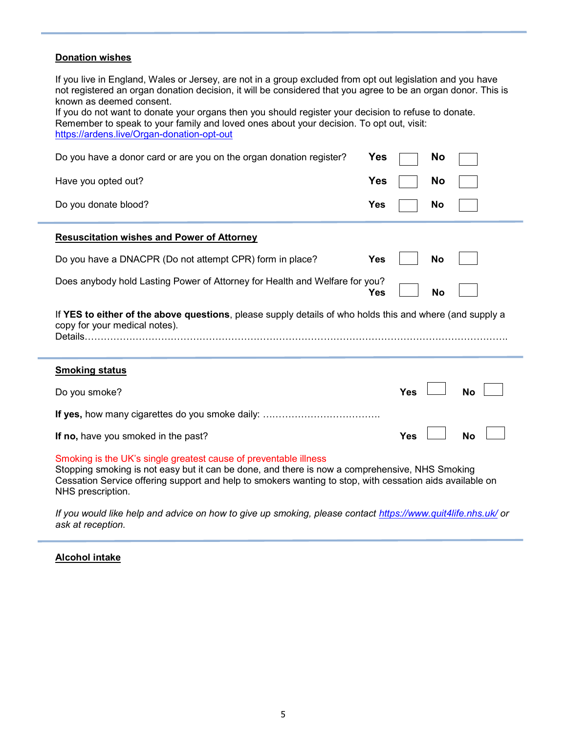#### Donation wishes

If you live in England, Wales or Jersey, are not in a group excluded from opt out legislation and you have not registered an organ donation decision, it will be considered that you agree to be an organ donor. This is known as deemed consent.

If you do not want to donate your organs then you should register your decision to refuse to donate. Remember to speak to your family and loved ones about your decision. To opt out, visit: https://ardens.live/Organ-donation-opt-out

| Do you have a donor card or are you on the organ donation register?                                                                                                                                                                                                                                 | Yes        |     | No        |           |
|-----------------------------------------------------------------------------------------------------------------------------------------------------------------------------------------------------------------------------------------------------------------------------------------------------|------------|-----|-----------|-----------|
| Have you opted out?                                                                                                                                                                                                                                                                                 | <b>Yes</b> |     | No        |           |
| Do you donate blood?                                                                                                                                                                                                                                                                                | <b>Yes</b> |     | No        |           |
| <b>Resuscitation wishes and Power of Attorney</b>                                                                                                                                                                                                                                                   |            |     |           |           |
| Do you have a DNACPR (Do not attempt CPR) form in place?                                                                                                                                                                                                                                            | <b>Yes</b> |     | <b>No</b> |           |
| Does anybody hold Lasting Power of Attorney for Health and Welfare for you?                                                                                                                                                                                                                         | Yes        |     | <b>No</b> |           |
| If YES to either of the above questions, please supply details of who holds this and where (and supply a<br>copy for your medical notes).                                                                                                                                                           |            |     |           |           |
|                                                                                                                                                                                                                                                                                                     |            |     |           |           |
| <b>Smoking status</b>                                                                                                                                                                                                                                                                               |            |     |           |           |
| Do you smoke?                                                                                                                                                                                                                                                                                       |            | Yes |           | <b>No</b> |
|                                                                                                                                                                                                                                                                                                     |            |     |           |           |
| If no, have you smoked in the past?                                                                                                                                                                                                                                                                 |            | Yes |           | <b>No</b> |
| Smoking is the UK's single greatest cause of preventable illness<br>Stopping smoking is not easy but it can be done, and there is now a comprehensive, NHS Smoking<br>Cessation Service offering support and help to smokers wanting to stop, with cessation aids available on<br>NHS prescription. |            |     |           |           |

If you would like help and advice on how to give up smoking, please contact https://www.quit4life.nhs.uk/ or ask at reception.

#### Alcohol intake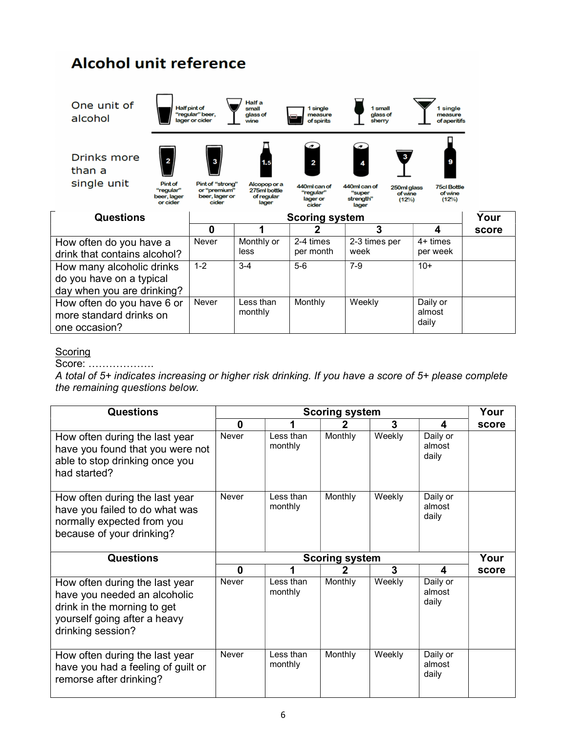# **Alcohol unit reference**

| One unit of<br>alcohol                                |                                  | <b>Half pint of</b><br>"regular" beer,<br>lager or cider | Half a<br>small<br>glass of<br>wine | 1 single<br>measure<br>of spirits                       | 1 small<br>glass of<br>sherry                                           | 1 single<br>measure<br>of aperitifs |       |
|-------------------------------------------------------|----------------------------------|----------------------------------------------------------|-------------------------------------|---------------------------------------------------------|-------------------------------------------------------------------------|-------------------------------------|-------|
| Drinks more<br>than a<br>single unit                  | 2<br><b>Pint of</b><br>"regular" | з<br>Pint of "strong"<br>or "premium"                    | 1.5<br>Alcopop or a<br>275ml bottle | $\sigma$<br>$\overline{2}$<br>440ml can of<br>"regular" | 3<br>$\overline{4}$<br>440ml can of<br>250ml glass<br>"super<br>of wine | <b>75cl Bottle</b><br>of wine       |       |
|                                                       | beer, lager<br>or cider          | beer, lager or<br>cider                                  | of regular<br>lager                 | lager or<br>cider                                       | strength"<br>(12%)<br>lager                                             | (12%)                               |       |
| <b>Questions</b>                                      |                                  |                                                          |                                     | <b>Scoring system</b>                                   |                                                                         |                                     | Your  |
|                                                       |                                  | 0                                                        |                                     | 2                                                       | 3                                                                       | 4                                   | score |
| How often do you have a                               |                                  | Never                                                    | Monthly or                          | 2-4 times                                               | 2-3 times per                                                           | $4+$ times                          |       |
| drink that contains alcohol?                          |                                  |                                                          | less                                | per month                                               | week                                                                    | per week                            |       |
| How many alcoholic drinks                             |                                  | $1 - 2$                                                  | $3 - 4$                             | $5-6$                                                   | $7 - 9$                                                                 | $10+$                               |       |
| do you have on a typical                              |                                  |                                                          |                                     |                                                         |                                                                         |                                     |       |
| day when you are drinking?                            |                                  |                                                          |                                     |                                                         |                                                                         |                                     |       |
| How often do you have 6 or<br>more standard drinks on |                                  | Never                                                    | Less than<br>monthly                | Monthly                                                 | Weekly                                                                  | Daily or<br>almost                  |       |

## **Scoring**

Score: ……………….

A total of 5+ indicates increasing or higher risk drinking. If you have a score of 5+ please complete the remaining questions below.

| <b>Questions</b>                                                                                                              |       | Your                 |                       |        |                             |       |
|-------------------------------------------------------------------------------------------------------------------------------|-------|----------------------|-----------------------|--------|-----------------------------|-------|
|                                                                                                                               | 0     |                      |                       | 3      | 4                           | score |
| How often during the last year<br>have you found that you were not<br>able to stop drinking once you<br>had started?          | Never | Less than<br>monthly | Monthly               | Weekly | Daily or<br>almost<br>daily |       |
| How often during the last year<br>have you failed to do what was<br>normally expected from you<br>because of your drinking?   | Never | Less than<br>monthly | Monthly               | Weekly | Daily or<br>almost<br>daily |       |
| <b>Questions</b>                                                                                                              |       |                      | <b>Scoring system</b> |        |                             | Your  |
|                                                                                                                               | 0     |                      |                       | 3      | 4                           | score |
| How often during the last year<br>have you needed an alcoholic<br>drink in the morning to get<br>yourself going after a heavy | Never | Less than<br>monthly | Monthly               | Weekly | Daily or<br>almost<br>daily |       |
| drinking session?                                                                                                             |       |                      |                       |        |                             |       |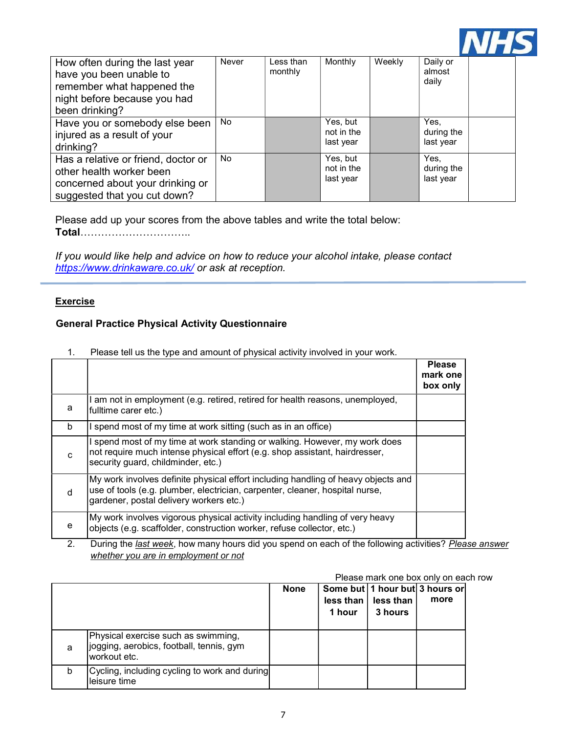

| How often during the last year<br>have you been unable to<br>remember what happened the<br>night before because you had<br>been drinking? | Never     | Less than<br>monthly | Monthly                             | Weekly | Daily or<br>almost<br>daily     |  |
|-------------------------------------------------------------------------------------------------------------------------------------------|-----------|----------------------|-------------------------------------|--------|---------------------------------|--|
| Have you or somebody else been<br>injured as a result of your<br>drinking?                                                                | <b>No</b> |                      | Yes, but<br>not in the<br>last year |        | Yes,<br>during the<br>last year |  |
| Has a relative or friend, doctor or<br>other health worker been<br>concerned about your drinking or<br>suggested that you cut down?       | No.       |                      | Yes, but<br>not in the<br>last year |        | Yes.<br>during the<br>last year |  |

Please add up your scores from the above tables and write the total below:

Total…………………………..

If you would like help and advice on how to reduce your alcohol intake, please contact https://www.drinkaware.co.uk/ or ask at reception.

#### **Exercise**

e

#### General Practice Physical Activity Questionnaire

| 1. | Please tell us the type and amount of physical activity involved in your work.                                                                                                                               |                                       |
|----|--------------------------------------------------------------------------------------------------------------------------------------------------------------------------------------------------------------|---------------------------------------|
|    |                                                                                                                                                                                                              | <b>Please</b><br>mark one<br>box only |
| a  | am not in employment (e.g. retired, retired for health reasons, unemployed,<br>fulltime carer etc.)                                                                                                          |                                       |
| b  | spend most of my time at work sitting (such as in an office)                                                                                                                                                 |                                       |
| C  | I spend most of my time at work standing or walking. However, my work does<br>not require much intense physical effort (e.g. shop assistant, hairdresser,<br>security guard, childminder, etc.)              |                                       |
| d  | My work involves definite physical effort including handling of heavy objects and<br>use of tools (e.g. plumber, electrician, carpenter, cleaner, hospital nurse,<br>gardener, postal delivery workers etc.) |                                       |
|    | My work involves vigorous physical activity including handling of very heavy                                                                                                                                 |                                       |

objects (e.g. scaffolder, construction worker, refuse collector, etc.)

2. During the last week, how many hours did you spend on each of the following activities? Please answer whether you are in employment or not

| Please mark one box only on each row |
|--------------------------------------|
|--------------------------------------|

|   |                                                                                                 | <b>None</b> | less than<br>1 hour | less than<br>3 hours | Some but   1 hour but   3 hours or<br>more |
|---|-------------------------------------------------------------------------------------------------|-------------|---------------------|----------------------|--------------------------------------------|
| a | Physical exercise such as swimming,<br>jogging, aerobics, football, tennis, gym<br>workout etc. |             |                     |                      |                                            |
| b | Cycling, including cycling to work and during<br>leisure time                                   |             |                     |                      |                                            |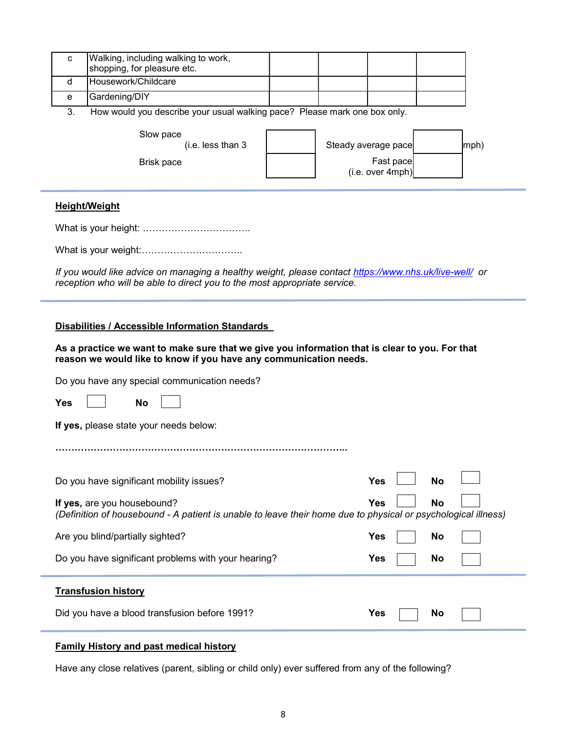| С          | Walking, including walking to work,<br>shopping, for pleasure etc.                                                                                                                                                                                                         |  |                     |           |      |
|------------|----------------------------------------------------------------------------------------------------------------------------------------------------------------------------------------------------------------------------------------------------------------------------|--|---------------------|-----------|------|
| d          | Housework/Childcare                                                                                                                                                                                                                                                        |  |                     |           |      |
| е          | Gardening/DIY                                                                                                                                                                                                                                                              |  |                     |           |      |
| 3.         | How would you describe your usual walking pace? Please mark one box only.                                                                                                                                                                                                  |  |                     |           |      |
|            | Slow pace<br>(i.e. less than 3                                                                                                                                                                                                                                             |  | Steady average pace |           | mph) |
|            | <b>Brisk pace</b>                                                                                                                                                                                                                                                          |  | Fast pace           |           |      |
|            |                                                                                                                                                                                                                                                                            |  | (i.e. over 4mph)    |           |      |
|            | <b>Height/Weight</b>                                                                                                                                                                                                                                                       |  |                     |           |      |
|            |                                                                                                                                                                                                                                                                            |  |                     |           |      |
|            |                                                                                                                                                                                                                                                                            |  |                     |           |      |
|            | If you would like advice on managing a healthy weight, please contact https://www.nhs.uk/live-well/ or                                                                                                                                                                     |  |                     |           |      |
|            | reception who will be able to direct you to the most appropriate service.                                                                                                                                                                                                  |  |                     |           |      |
| <b>Yes</b> | As a practice we want to make sure that we give you information that is clear to you. For that<br>reason we would like to know if you have any communication needs.<br>Do you have any special communication needs?<br><b>No</b><br>If yes, please state your needs below: |  |                     |           |      |
|            |                                                                                                                                                                                                                                                                            |  |                     |           |      |
|            | Do you have significant mobility issues?                                                                                                                                                                                                                                   |  | Yes                 | <b>No</b> |      |
|            | If yes, are you housebound?<br>(Definition of housebound - A patient is unable to leave their home due to physical or psychological illness)                                                                                                                               |  | Yes                 | <b>No</b> |      |
|            | Are you blind/partially sighted?                                                                                                                                                                                                                                           |  | <b>Yes</b>          | No        |      |
|            | Do you have significant problems with your hearing?                                                                                                                                                                                                                        |  | Yes                 | <b>No</b> |      |
|            | <b>Transfusion history</b>                                                                                                                                                                                                                                                 |  |                     |           |      |
|            | Did you have a blood transfusion before 1991?                                                                                                                                                                                                                              |  | <b>Yes</b>          | No        |      |
|            |                                                                                                                                                                                                                                                                            |  |                     |           |      |

## Family History and past medical history

Have any close relatives (parent, sibling or child only) ever suffered from any of the following?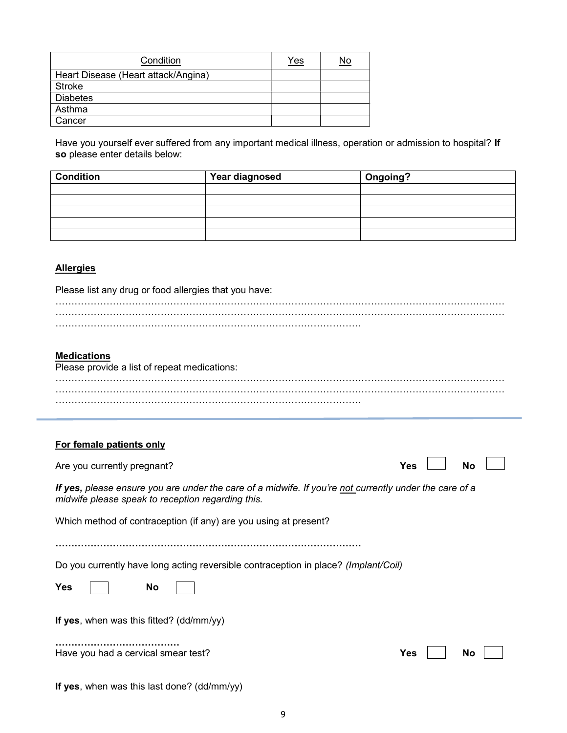| Condition                           | Yes | No |
|-------------------------------------|-----|----|
| Heart Disease (Heart attack/Angina) |     |    |
| Stroke                              |     |    |
| <b>Diabetes</b>                     |     |    |
| Asthma                              |     |    |
| Cancer                              |     |    |

Have you yourself ever suffered from any important medical illness, operation or admission to hospital? If so please enter details below:

| <b>Condition</b> | <b>Year diagnosed</b> | Ongoing? |
|------------------|-----------------------|----------|
|                  |                       |          |
|                  |                       |          |
|                  |                       |          |
|                  |                       |          |
|                  |                       |          |

### **Allergies**

#### Please list any drug or food allergies that you have:

#### Medications

| <br>Please provide a list of repeat medications:                                                                                                            |                         |
|-------------------------------------------------------------------------------------------------------------------------------------------------------------|-------------------------|
|                                                                                                                                                             |                         |
| For female patients only                                                                                                                                    |                         |
| Are you currently pregnant?                                                                                                                                 | <b>Yes</b><br><b>No</b> |
| If yes, please ensure you are under the care of a midwife. If you're not currently under the care of a<br>midwife please speak to reception regarding this. |                         |
| Which method of contraception (if any) are you using at present?                                                                                            |                         |
|                                                                                                                                                             |                         |
| Do you currently have long acting reversible contraception in place? (Implant/Coil)                                                                         |                         |
| Yes<br>No                                                                                                                                                   |                         |
| If yes, when was this fitted? (dd/mm/yy)                                                                                                                    |                         |
| Have you had a cervical smear test?                                                                                                                         | Yes<br>No               |
|                                                                                                                                                             |                         |

| If yes, when was this last done? (dd/mm/yy) |  |
|---------------------------------------------|--|
|---------------------------------------------|--|